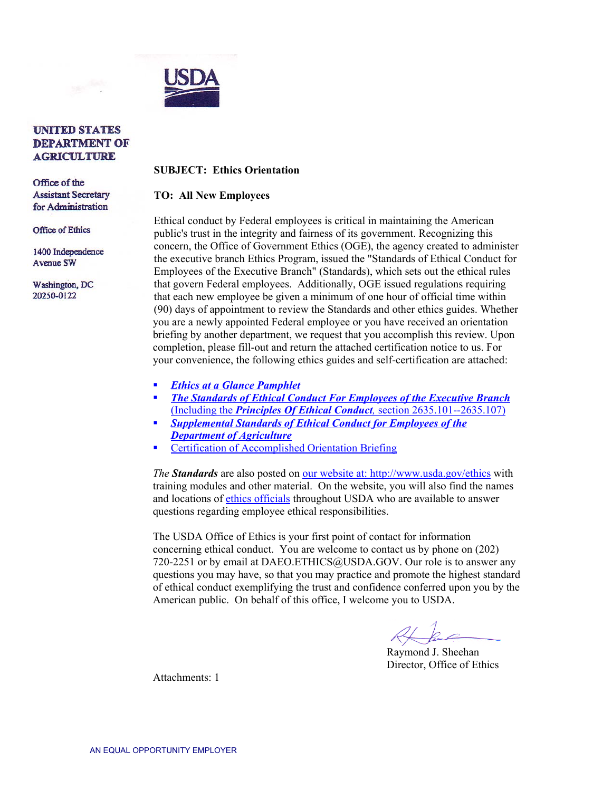

## **UNITED STATES DEPARTMENT OF AGRICULTURE**

Office of the **Assistant Secretary** for Administration

**Office of Ethics** 

1400 Independence **Avenue SW** 

Washington, DC 20250-0122

## **SUBJECT: Ethics Orientation**

## **TO: All New Employees**

Ethical conduct by Federal employees is critical in maintaining the American public's trust in the integrity and fairness of its government. Recognizing this concern, the Office of Government Ethics (OGE), the agency created to administer the executive branch Ethics Program, issued the "Standards of Ethical Conduct for Employees of the Executive Branch" (Standards), which sets out the ethical rules that govern Federal employees. Additionally, OGE issued regulations requiring that each new employee be given a minimum of one hour of official time within (90) days of appointment to review the Standards and other ethics guides. Whether you are a newly appointed Federal employee or you have received an orientation briefing by another department, we request that you accomplish this review. Upon completion, please fill-out and return the attached certification notice to us. For your convenience, the following ethics guides and self-certification are attached:

- *[Ethics at a Glance Pamphlet](http://www.usda-ethics.net/rules/rule1.htm)*
- *The Standards of Ethical [Conduct For Employees of the Executive Branch](http://www.access.gpo.gov/nara/cfr/waisidx_02/5cfr2635_02.html)* (Including the *Principles Of Ethical Conduct,* section 2635.101--2635.107)
- *Supplemental Standards [of Ethical Conduct for Employees of the](http://www.access.gpo.gov/nara/cfr/waisidx_05/5cfr8301_05.html)  Department of Agriculture*
- **Certification of Accomplished Orientation Briefing**

*The Standards* are also posted o[n our website at: http://www.usda.gov/ethics](http://www.usda.gov/ethics) with training modules and other material. On the website, you will also find the names and locations of [ethics officials](http://www.usda-ethics.net/advisor/index.htm) throughout USDA who are available to answer questions regarding employee ethical responsibilities.

The USDA Office of Ethics is your first point of contact for information concerning ethical conduct. You are welcome to contact us by phone on (202) 720-2251 or by email at DAEO.ETHICS@USDA.GOV. Our role is to answer any questions you may have, so that you may practice and promote the highest standard of ethical conduct exemplifying the trust and confidence conferred upon you by the American public. On behalf of this office, I welcome you to USDA.

Raymond J. Sheehan Director, Office of Ethics

Attachments: 1